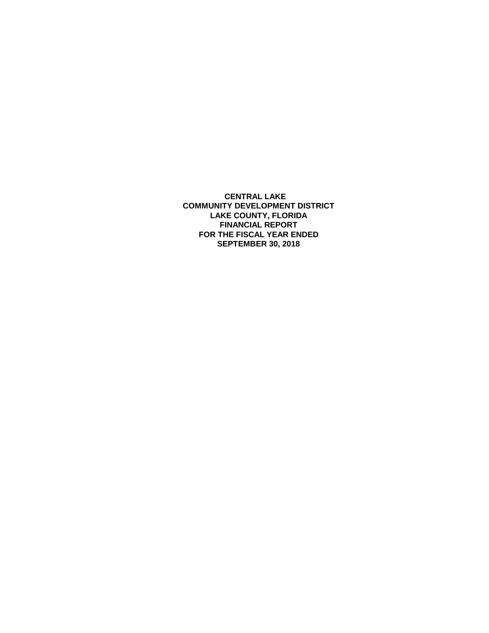**CENTRAL LAKE COMMUNITY DEVELOPMENT DISTRICT LAKE COUNTY, FLORIDA FINANCIAL REPORT FOR THE FISCAL YEAR ENDED SEPTEMBER 30, 2018**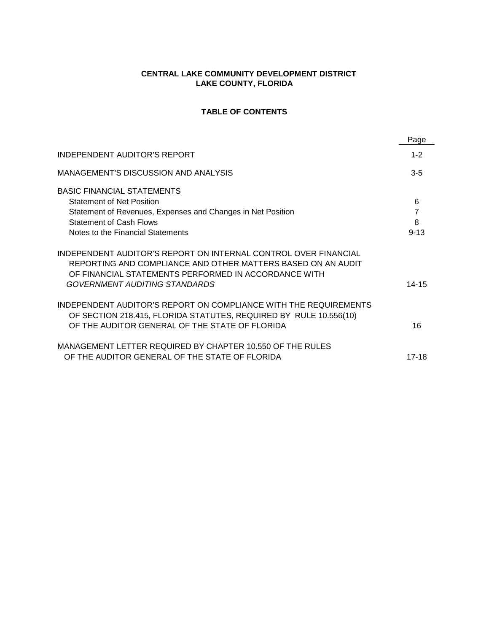## **CENTRAL LAKE COMMUNITY DEVELOPMENT DISTRICT LAKE COUNTY, FLORIDA**

# **TABLE OF CONTENTS**

|                                                                                                                                                                                                                          | Page     |
|--------------------------------------------------------------------------------------------------------------------------------------------------------------------------------------------------------------------------|----------|
| INDEPENDENT AUDITOR'S REPORT                                                                                                                                                                                             | $1 - 2$  |
| MANAGEMENT'S DISCUSSION AND ANALYSIS                                                                                                                                                                                     | $3 - 5$  |
| <b>BASIC FINANCIAL STATEMENTS</b>                                                                                                                                                                                        |          |
| <b>Statement of Net Position</b>                                                                                                                                                                                         | 6        |
| Statement of Revenues, Expenses and Changes in Net Position                                                                                                                                                              | 7        |
| <b>Statement of Cash Flows</b>                                                                                                                                                                                           | 8        |
| Notes to the Financial Statements                                                                                                                                                                                        | $9 - 13$ |
| INDEPENDENT AUDITOR'S REPORT ON INTERNAL CONTROL OVER FINANCIAL<br>REPORTING AND COMPLIANCE AND OTHER MATTERS BASED ON AN AUDIT<br>OF FINANCIAL STATEMENTS PERFORMED IN ACCORDANCE WITH<br>GOVERNMENT AUDITING STANDARDS | 14-15    |
| INDEPENDENT AUDITOR'S REPORT ON COMPLIANCE WITH THE REQUIREMENTS<br>OF SECTION 218.415, FLORIDA STATUTES, REQUIRED BY RULE 10.556(10)<br>OF THE AUDITOR GENERAL OF THE STATE OF FLORIDA                                  | 16       |
| MANAGEMENT LETTER REQUIRED BY CHAPTER 10.550 OF THE RULES<br>OF THE AUDITOR GENERAL OF THE STATE OF FLORIDA                                                                                                              | 17-18    |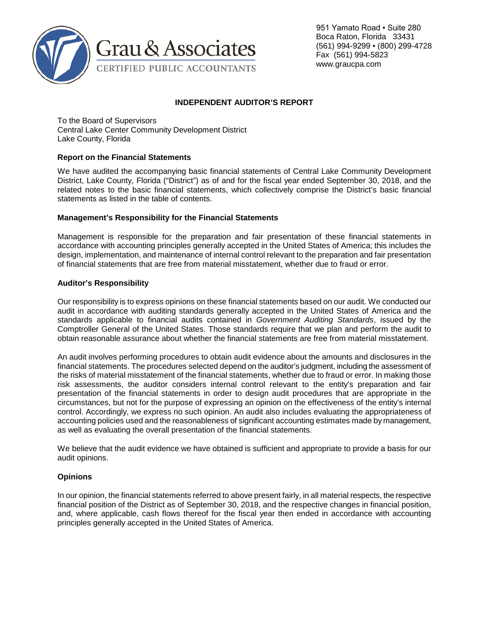

951 Yamato Road · Suite 280 Boca Raton, Florida 33431 (561) 994-9299 ▪ (800) 299-4728 Fax (561) 994-5823 www.graucpa.com

# **INDEPENDENT AUDITOR'S REPORT**

To the Board of Supervisors Central Lake Center Community Development District Lake County, Florida

### **Report on the Financial Statements**

We have audited the accompanying basic financial statements of Central Lake Community Development District, Lake County, Florida ("District") as of and for the fiscal year ended September 30, 2018, and the related notes to the basic financial statements, which collectively comprise the District's basic financial statements as listed in the table of contents.

### **Management's Responsibility for the Financial Statements**

Management is responsible for the preparation and fair presentation of these financial statements in accordance with accounting principles generally accepted in the United States of America; this includes the design, implementation, and maintenance of internal control relevant to the preparation and fair presentation of financial statements that are free from material misstatement, whether due to fraud or error.

## **Auditor's Responsibility**

Our responsibility is to express opinions on these financial statements based on our audit. We conducted our audit in accordance with auditing standards generally accepted in the United States of America and the standards applicable to financial audits contained in *Government Auditing Standards*, issued by the Comptroller General of the United States. Those standards require that we plan and perform the audit to obtain reasonable assurance about whether the financial statements are free from material misstatement.

An audit involves performing procedures to obtain audit evidence about the amounts and disclosures in the financial statements. The procedures selected depend on the auditor's judgment, including the assessment of the risks of material misstatement of the financial statements, whether due to fraud or error. In making those risk assessments, the auditor considers internal control relevant to the entity's preparation and fair presentation of the financial statements in order to design audit procedures that are appropriate in the circumstances, but not for the purpose of expressing an opinion on the effectiveness of the entity's internal control. Accordingly, we express no such opinion. An audit also includes evaluating the appropriateness of accounting policies used and the reasonableness of significant accounting estimates made by management, as well as evaluating the overall presentation of the financial statements.

We believe that the audit evidence we have obtained is sufficient and appropriate to provide a basis for our audit opinions.

### **Opinions**

In our opinion, the financial statements referred to above present fairly, in all material respects, the respective financial position of the District as of September 30, 2018, and the respective changes in financial position, and, where applicable, cash flows thereof for the fiscal year then ended in accordance with accounting principles generally accepted in the United States of America.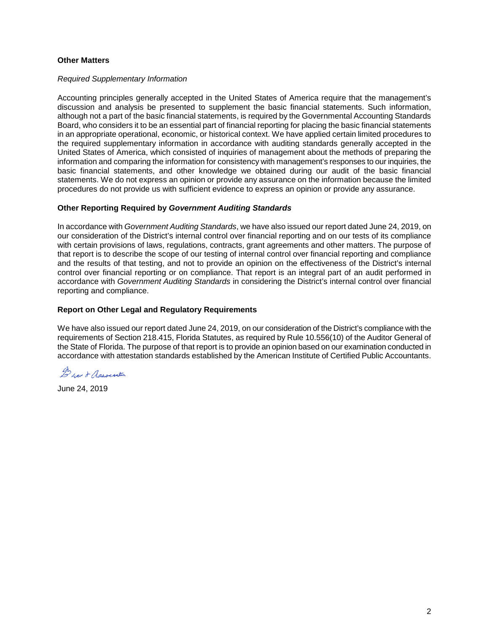### **Other Matters**

#### *Required Supplementary Information*

Accounting principles generally accepted in the United States of America require that the management's discussion and analysis be presented to supplement the basic financial statements. Such information, although not a part of the basic financial statements, is required by the Governmental Accounting Standards Board, who considers it to be an essential part of financial reporting for placing the basic financial statements in an appropriate operational, economic, or historical context. We have applied certain limited procedures to the required supplementary information in accordance with auditing standards generally accepted in the United States of America, which consisted of inquiries of management about the methods of preparing the information and comparing the information for consistency with management's responses to our inquiries, the basic financial statements, and other knowledge we obtained during our audit of the basic financial statements. We do not express an opinion or provide any assurance on the information because the limited procedures do not provide us with sufficient evidence to express an opinion or provide any assurance.

### **Other Reporting Required by** *Government Auditing Standards*

In accordance with *Government Auditing Standards*, we have also issued our report dated June 24, 2019, on our consideration of the District's internal control over financial reporting and on our tests of its compliance with certain provisions of laws, regulations, contracts, grant agreements and other matters. The purpose of that report is to describe the scope of our testing of internal control over financial reporting and compliance and the results of that testing, and not to provide an opinion on the effectiveness of the District's internal control over financial reporting or on compliance. That report is an integral part of an audit performed in accordance with *Government Auditing Standards* in considering the District's internal control over financial reporting and compliance.

### **Report on Other Legal and Regulatory Requirements**

We have also issued our report dated June 24, 2019, on our consideration of the District's compliance with the requirements of Section 218.415, Florida Statutes, as required by Rule 10.556(10) of the Auditor General of the State of Florida. The purpose of that report is to provide an opinion based on our examination conducted in accordance with attestation standards established by the American Institute of Certified Public Accountants.

Duan & Association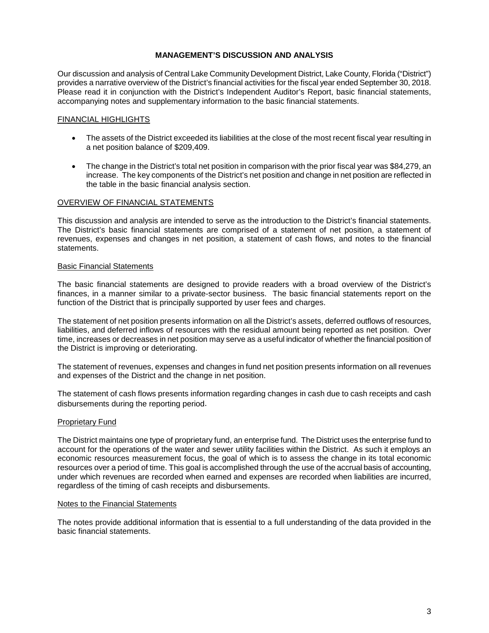## **MANAGEMENT'S DISCUSSION AND ANALYSIS**

Our discussion and analysis of Central Lake Community Development District, Lake County, Florida ("District") provides a narrative overview of the District's financial activities for the fiscal year ended September 30, 2018. Please read it in conjunction with the District's Independent Auditor's Report, basic financial statements, accompanying notes and supplementary information to the basic financial statements.

## FINANCIAL HIGHLIGHTS

- The assets of the District exceeded its liabilities at the close of the most recent fiscal year resulting in a net position balance of \$209,409.
- The change in the District's total net position in comparison with the prior fiscal year was \$84,279, an increase. The key components of the District's net position and change in net position are reflected in the table in the basic financial analysis section.

## OVERVIEW OF FINANCIAL STATEMENTS

This discussion and analysis are intended to serve as the introduction to the District's financial statements. The District's basic financial statements are comprised of a statement of net position, a statement of revenues, expenses and changes in net position, a statement of cash flows, and notes to the financial statements.

### Basic Financial Statements

The basic financial statements are designed to provide readers with a broad overview of the District's finances, in a manner similar to a private-sector business. The basic financial statements report on the function of the District that is principally supported by user fees and charges.

The statement of net position presents information on all the District's assets, deferred outflows of resources, liabilities, and deferred inflows of resources with the residual amount being reported as net position. Over time, increases or decreases in net position may serve as a useful indicator of whether the financial position of the District is improving or deteriorating.

The statement of revenues, expenses and changes in fund net position presents information on all revenues and expenses of the District and the change in net position.

The statement of cash flows presents information regarding changes in cash due to cash receipts and cash disbursements during the reporting period.

### **Proprietary Fund**

The District maintains one type of proprietary fund, an enterprise fund. The District uses the enterprise fund to account for the operations of the water and sewer utility facilities within the District. As such it employs an economic resources measurement focus, the goal of which is to assess the change in its total economic resources over a period of time. This goal is accomplished through the use of the accrual basis of accounting, under which revenues are recorded when earned and expenses are recorded when liabilities are incurred, regardless of the timing of cash receipts and disbursements.

#### Notes to the Financial Statements

The notes provide additional information that is essential to a full understanding of the data provided in the basic financial statements.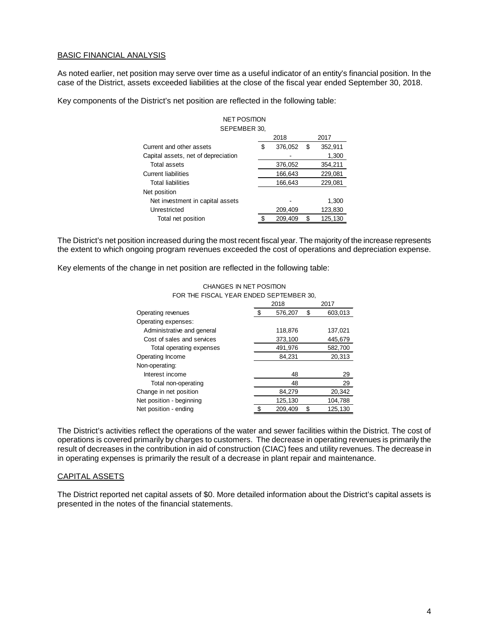#### BASIC FINANCIAL ANALYSIS

As noted earlier, net position may serve over time as a useful indicator of an entity's financial position. In the case of the District, assets exceeded liabilities at the close of the fiscal year ended September 30, 2018.

Key components of the District's net position are reflected in the following table:

| <b>NET POSITION</b>                 |   |         |    |         |  |
|-------------------------------------|---|---------|----|---------|--|
| SEPEMBER 30,                        |   |         |    |         |  |
|                                     |   | 2018    |    | 2017    |  |
| Current and other assets            | S | 376,052 | \$ | 352,911 |  |
| Capital assets, net of depreciation |   |         |    | 1,300   |  |
| Total assets                        |   | 376,052 |    | 354,211 |  |
| <b>Current liabilities</b>          |   | 166,643 |    | 229,081 |  |
| <b>Total liabilities</b>            |   | 166,643 |    | 229,081 |  |
| Net position                        |   |         |    |         |  |
| Net investment in capital assets    |   |         |    | 1.300   |  |
| Unrestricted                        |   | 209,409 |    | 123,830 |  |
| Total net position                  |   | 209,409 | \$ | 125,130 |  |

The District's net position increased during the most recent fiscal year. The majority of the increase represents the extent to which ongoing program revenues exceeded the cost of operations and depreciation expense.

Key elements of the change in net position are reflected in the following table:

| CHANGES IN NET POSITION                 |       |
|-----------------------------------------|-------|
| FOR THE FISCAL YEAR ENDED SEPTEMBER 30. |       |
| 0.10                                    | 0.017 |

|                            | 2018 |         |    | 2017    |  |  |
|----------------------------|------|---------|----|---------|--|--|
| Operating revenues         | £.   | 576,207 | \$ | 603,013 |  |  |
| Operating expenses:        |      |         |    |         |  |  |
| Administrative and general |      | 118,876 |    | 137.021 |  |  |
| Cost of sales and services |      | 373,100 |    | 445,679 |  |  |
| Total operating expenses   |      | 491,976 |    | 582,700 |  |  |
| Operating Income           |      | 84,231  |    | 20,313  |  |  |
| Non-operating:             |      |         |    |         |  |  |
| Interest income            |      | 48      |    | 29      |  |  |
| Total non-operating        |      | 48      |    | 29      |  |  |
| Change in net position     |      | 84.279  |    | 20,342  |  |  |
| Net position - beginning   |      | 125,130 |    | 104,788 |  |  |
| Net position - ending      |      | 209.409 |    | 125,130 |  |  |

The District's activities reflect the operations of the water and sewer facilities within the District. The cost of operations is covered primarily by charges to customers. The decrease in operating revenues is primarily the result of decreases in the contribution in aid of construction (CIAC) fees and utility revenues. The decrease in in operating expenses is primarily the result of a decrease in plant repair and maintenance.

#### CAPITAL ASSETS

The District reported net capital assets of \$0. More detailed information about the District's capital assets is presented in the notes of the financial statements.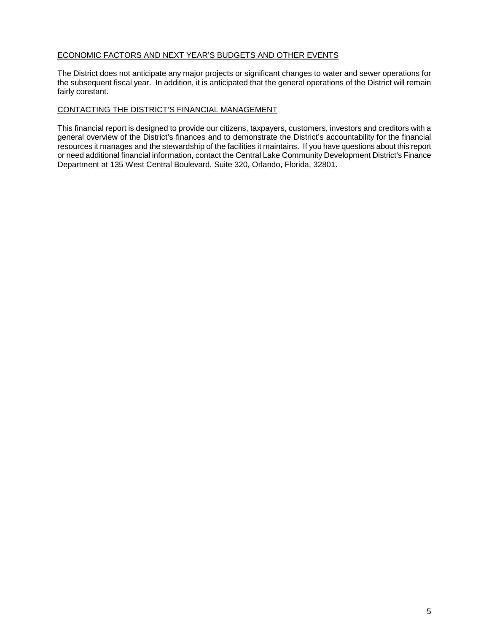## ECONOMIC FACTORS AND NEXT YEAR'S BUDGETS AND OTHER EVENTS

The District does not anticipate any major projects or significant changes to water and sewer operations for the subsequent fiscal year. In addition, it is anticipated that the general operations of the District will remain fairly constant.

### CONTACTING THE DISTRICT'S FINANCIAL MANAGEMENT

This financial report is designed to provide our citizens, taxpayers, customers, investors and creditors with a general overview of the District's finances and to demonstrate the District's accountability for the financial resources it manages and the stewardship of the facilities it maintains. If you have questions about this report or need additional financial information, contact the Central Lake Community Development District's Finance Department at 135 West Central Boulevard, Suite 320, Orlando, Florida, 32801.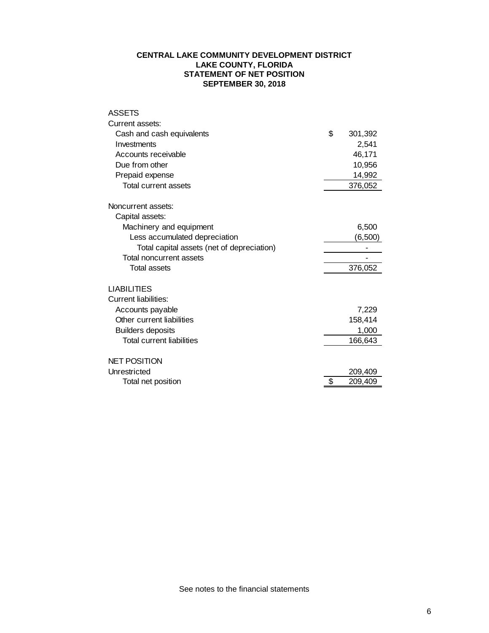## **CENTRAL LAKE COMMUNITY DEVELOPMENT DISTRICT LAKE COUNTY, FLORIDA STATEMENT OF NET POSITION SEPTEMBER 30, 2018**

| Current assets:<br>Cash and cash equivalents | \$<br>301,392 |
|----------------------------------------------|---------------|
|                                              |               |
|                                              |               |
| Investments                                  | 2,541         |
| Accounts receivable                          | 46,171        |
| Due from other                               | 10,956        |
| Prepaid expense                              | 14,992        |
| <b>Total current assets</b>                  | 376,052       |
| Noncurrent assets:                           |               |
| Capital assets:                              |               |
| Machinery and equipment                      | 6,500         |
| Less accumulated depreciation                | (6,500)       |
| Total capital assets (net of depreciation)   |               |
| Total noncurrent assets                      |               |
| <b>Total assets</b>                          | 376,052       |
| <b>LIABILITIES</b>                           |               |
| Current liabilities:                         |               |
| Accounts payable                             | 7,229         |
| Other current liabilities                    | 158,414       |
| <b>Builders deposits</b>                     | 1,000         |
| Total current liabilities                    | 166,643       |
| <b>NET POSITION</b>                          |               |
| Unrestricted                                 | 209,409       |
| Total net position                           | \$<br>209,409 |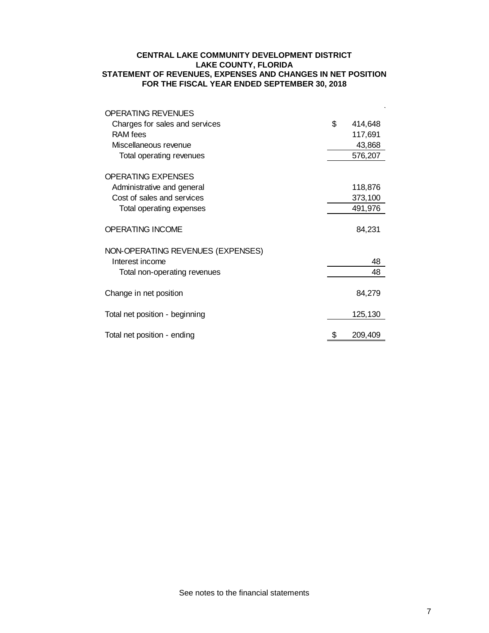## **CENTRAL LAKE COMMUNITY DEVELOPMENT DISTRICT LAKE COUNTY, FLORIDA STATEMENT OF REVENUES, EXPENSES AND CHANGES IN NET POSITION FOR THE FISCAL YEAR ENDED SEPTEMBER 30, 2018**

| <b>OPERATING REVENUES</b>         |    |         |
|-----------------------------------|----|---------|
| Charges for sales and services    | \$ | 414,648 |
| RAM fees                          |    | 117,691 |
| Miscellaneous revenue             |    | 43,868  |
| Total operating revenues          |    | 576,207 |
| <b>OPERATING EXPENSES</b>         |    |         |
| Administrative and general        |    | 118,876 |
| Cost of sales and services        |    | 373,100 |
| Total operating expenses          |    | 491,976 |
| <b>OPERATING INCOME</b>           |    | 84,231  |
| NON-OPERATING REVENUES (EXPENSES) |    |         |
| Interest income                   |    | 48      |
| Total non-operating revenues      |    | 48      |
| Change in net position            |    | 84,279  |
| Total net position - beginning    |    | 125,130 |
| Total net position - ending       | S  | 209,409 |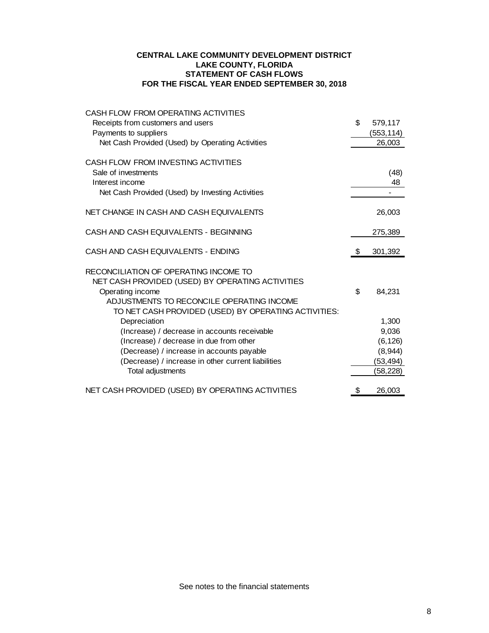## **CENTRAL LAKE COMMUNITY DEVELOPMENT DISTRICT LAKE COUNTY, FLORIDA STATEMENT OF CASH FLOWS FOR THE FISCAL YEAR ENDED SEPTEMBER 30, 2018**

| CASH FLOW FROM OPERATING ACTIVITIES                                                                                                                                                                                |               |
|--------------------------------------------------------------------------------------------------------------------------------------------------------------------------------------------------------------------|---------------|
| Receipts from customers and users                                                                                                                                                                                  | \$<br>579,117 |
| Payments to suppliers                                                                                                                                                                                              | (553, 114)    |
| Net Cash Provided (Used) by Operating Activities                                                                                                                                                                   | 26,003        |
| CASH FLOW FROM INVESTING ACTIVITIES                                                                                                                                                                                |               |
| Sale of investments                                                                                                                                                                                                | (48)          |
| Interest income                                                                                                                                                                                                    | 48            |
| Net Cash Provided (Used) by Investing Activities                                                                                                                                                                   |               |
| NET CHANGE IN CASH AND CASH EQUIVALENTS                                                                                                                                                                            | 26,003        |
| CASH AND CASH EQUIVALENTS - BEGINNING                                                                                                                                                                              | 275,389       |
| CASH AND CASH EQUIVALENTS - ENDING                                                                                                                                                                                 | \$<br>301,392 |
| RECONCILIATION OF OPERATING INCOME TO<br>NET CASH PROVIDED (USED) BY OPERATING ACTIVITIES<br>Operating income<br>ADJUSTMENTS TO RECONCILE OPERATING INCOME<br>TO NET CASH PROVIDED (USED) BY OPERATING ACTIVITIES: | \$<br>84,231  |
| Depreciation                                                                                                                                                                                                       | 1,300         |
| (Increase) / decrease in accounts receivable                                                                                                                                                                       | 9,036         |
| (Increase) / decrease in due from other                                                                                                                                                                            | (6, 126)      |
| (Decrease) / increase in accounts payable                                                                                                                                                                          | (8,944)       |
| (Decrease) / increase in other current liabilities                                                                                                                                                                 | (53, 494)     |
| Total adjustments                                                                                                                                                                                                  | (58,228)      |
| NET CASH PROVIDED (USED) BY OPERATING ACTIVITIES                                                                                                                                                                   | \$<br>26,003  |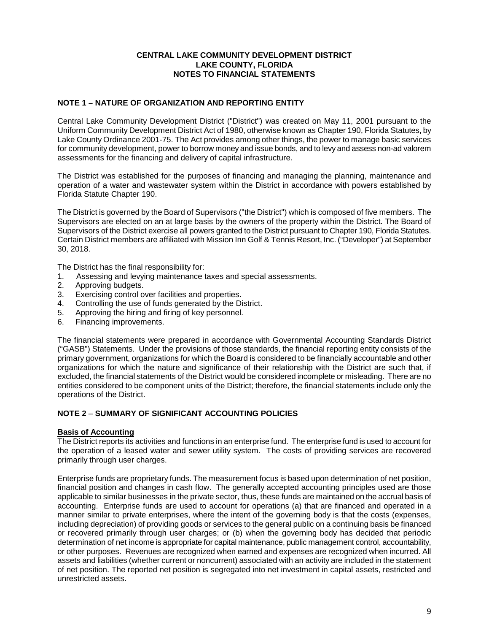## **CENTRAL LAKE COMMUNITY DEVELOPMENT DISTRICT LAKE COUNTY, FLORIDA NOTES TO FINANCIAL STATEMENTS**

## **NOTE 1 – NATURE OF ORGANIZATION AND REPORTING ENTITY**

Central Lake Community Development District ("District") was created on May 11, 2001 pursuant to the Uniform Community Development District Act of 1980, otherwise known as Chapter 190, Florida Statutes, by Lake County Ordinance 2001-75. The Act provides among other things, the power to manage basic services for community development, power to borrow money and issue bonds, and to levy and assess non-ad valorem assessments for the financing and delivery of capital infrastructure.

The District was established for the purposes of financing and managing the planning, maintenance and operation of a water and wastewater system within the District in accordance with powers established by Florida Statute Chapter 190.

The District is governed by the Board of Supervisors ("the District") which is composed of five members. The Supervisors are elected on an at large basis by the owners of the property within the District. The Board of Supervisors of the District exercise all powers granted to the District pursuant to Chapter 190, Florida Statutes. Certain District members are affiliated with Mission Inn Golf & Tennis Resort, Inc. ("Developer") at September 30, 2018.

The District has the final responsibility for:

- 1. Assessing and levying maintenance taxes and special assessments.
- 2. Approving budgets.
- 3. Exercising control over facilities and properties.
- 4. Controlling the use of funds generated by the District.
- 5. Approving the hiring and firing of key personnel.
- 6. Financing improvements.

The financial statements were prepared in accordance with Governmental Accounting Standards District ("GASB") Statements. Under the provisions of those standards, the financial reporting entity consists of the primary government, organizations for which the Board is considered to be financially accountable and other organizations for which the nature and significance of their relationship with the District are such that, if excluded, the financial statements of the District would be considered incomplete or misleading. There are no entities considered to be component units of the District; therefore, the financial statements include only the operations of the District.

## **NOTE 2** – **SUMMARY OF SIGNIFICANT ACCOUNTING POLICIES**

### **Basis of Accounting**

The District reports its activities and functions in an enterprise fund. The enterprise fund is used to account for the operation of a leased water and sewer utility system. The costs of providing services are recovered primarily through user charges.

Enterprise funds are proprietary funds. The measurement focus is based upon determination of net position, financial position and changes in cash flow. The generally accepted accounting principles used are those applicable to similar businesses in the private sector, thus, these funds are maintained on the accrual basis of accounting. Enterprise funds are used to account for operations (a) that are financed and operated in a manner similar to private enterprises, where the intent of the governing body is that the costs (expenses, including depreciation) of providing goods or services to the general public on a continuing basis be financed or recovered primarily through user charges; or (b) when the governing body has decided that periodic determination of net income is appropriate for capital maintenance, public management control, accountability, or other purposes. Revenues are recognized when earned and expenses are recognized when incurred. All assets and liabilities (whether current or noncurrent) associated with an activity are included in the statement of net position. The reported net position is segregated into net investment in capital assets, restricted and unrestricted assets.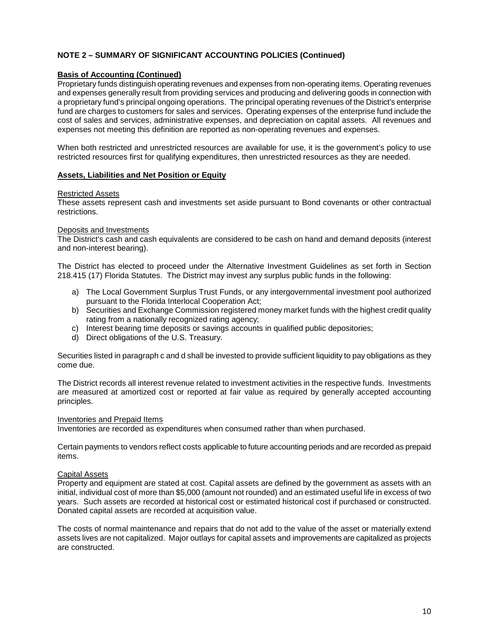# **NOTE 2 – SUMMARY OF SIGNIFICANT ACCOUNTING POLICIES (Continued)**

### **Basis of Accounting (Continued)**

Proprietary funds distinguish operating revenues and expenses from non-operating items. Operating revenues and expenses generally result from providing services and producing and delivering goods in connection with a proprietary fund's principal ongoing operations. The principal operating revenues of the District's enterprise fund are charges to customers for sales and services. Operating expenses of the enterprise fund include the cost of sales and services, administrative expenses, and depreciation on capital assets. All revenues and expenses not meeting this definition are reported as non-operating revenues and expenses.

When both restricted and unrestricted resources are available for use, it is the government's policy to use restricted resources first for qualifying expenditures, then unrestricted resources as they are needed.

#### **Assets, Liabilities and Net Position or Equity**

#### Restricted Assets

These assets represent cash and investments set aside pursuant to Bond covenants or other contractual restrictions.

#### Deposits and Investments

The District's cash and cash equivalents are considered to be cash on hand and demand deposits (interest and non-interest bearing).

The District has elected to proceed under the Alternative Investment Guidelines as set forth in Section 218.415 (17) Florida Statutes. The District may invest any surplus public funds in the following:

- a) The Local Government Surplus Trust Funds, or any intergovernmental investment pool authorized pursuant to the Florida Interlocal Cooperation Act;
- b) Securities and Exchange Commission registered money market funds with the highest credit quality rating from a nationally recognized rating agency;
- c) Interest bearing time deposits or savings accounts in qualified public depositories;
- d) Direct obligations of the U.S. Treasury.

Securities listed in paragraph c and d shall be invested to provide sufficient liquidity to pay obligations as they come due.

The District records all interest revenue related to investment activities in the respective funds. Investments are measured at amortized cost or reported at fair value as required by generally accepted accounting principles.

#### Inventories and Prepaid Items

Inventories are recorded as expenditures when consumed rather than when purchased.

Certain payments to vendors reflect costs applicable to future accounting periods and are recorded as prepaid items.

### Capital Assets

Property and equipment are stated at cost. Capital assets are defined by the government as assets with an initial, individual cost of more than \$5,000 (amount not rounded) and an estimated useful life in excess of two years. Such assets are recorded at historical cost or estimated historical cost if purchased or constructed. Donated capital assets are recorded at acquisition value.

The costs of normal maintenance and repairs that do not add to the value of the asset or materially extend assets lives are not capitalized. Major outlays for capital assets and improvements are capitalized as projects are constructed.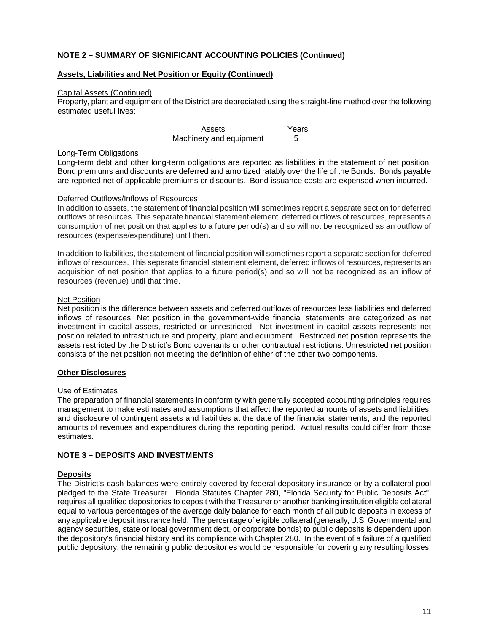## **NOTE 2 – SUMMARY OF SIGNIFICANT ACCOUNTING POLICIES (Continued)**

## **Assets, Liabilities and Net Position or Equity (Continued)**

#### Capital Assets (Continued)

Property, plant and equipment of the District are depreciated using the straight-line method over the following estimated useful lives:

> Assets Years Machinery and equipment 5

#### Long-Term Obligations

Long-term debt and other long-term obligations are reported as liabilities in the statement of net position. Bond premiums and discounts are deferred and amortized ratably over the life of the Bonds. Bonds payable are reported net of applicable premiums or discounts. Bond issuance costs are expensed when incurred.

#### Deferred Outflows/Inflows of Resources

In addition to assets, the statement of financial position will sometimes report a separate section for deferred outflows of resources. This separate financial statement element, deferred outflows of resources, represents a consumption of net position that applies to a future period(s) and so will not be recognized as an outflow of resources (expense/expenditure) until then.

In addition to liabilities, the statement of financial position will sometimes report a separate section for deferred inflows of resources. This separate financial statement element, deferred inflows of resources, represents an acquisition of net position that applies to a future period(s) and so will not be recognized as an inflow of resources (revenue) until that time.

### Net Position

Net position is the difference between assets and deferred outflows of resources less liabilities and deferred inflows of resources. Net position in the government-wide financial statements are categorized as net investment in capital assets, restricted or unrestricted. Net investment in capital assets represents net position related to infrastructure and property, plant and equipment. Restricted net position represents the assets restricted by the District's Bond covenants or other contractual restrictions. Unrestricted net position consists of the net position not meeting the definition of either of the other two components.

### **Other Disclosures**

### Use of Estimates

The preparation of financial statements in conformity with generally accepted accounting principles requires management to make estimates and assumptions that affect the reported amounts of assets and liabilities, and disclosure of contingent assets and liabilities at the date of the financial statements, and the reported amounts of revenues and expenditures during the reporting period. Actual results could differ from those estimates.

### **NOTE 3 – DEPOSITS AND INVESTMENTS**

### **Deposits**

The District's cash balances were entirely covered by federal depository insurance or by a collateral pool pledged to the State Treasurer. Florida Statutes Chapter 280, "Florida Security for Public Deposits Act", requires all qualified depositories to deposit with the Treasurer or another banking institution eligible collateral equal to various percentages of the average daily balance for each month of all public deposits in excess of any applicable deposit insurance held. The percentage of eligible collateral (generally, U.S. Governmental and agency securities, state or local government debt, or corporate bonds) to public deposits is dependent upon the depository's financial history and its compliance with Chapter 280. In the event of a failure of a qualified public depository, the remaining public depositories would be responsible for covering any resulting losses.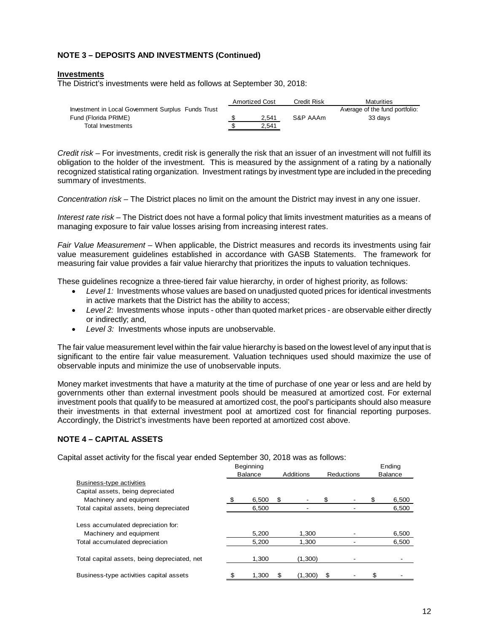# **NOTE 3 – DEPOSITS AND INVESTMENTS (Continued)**

#### **Investments**

The District's investments were held as follows at September 30, 2018:

|                                                    | <b>Amortized Cost</b> | Credit Risk | Maturities                     |
|----------------------------------------------------|-----------------------|-------------|--------------------------------|
| Investment in Local Government Surplus Funds Trust |                       |             | Average of the fund portfolio: |
| Fund (Florida PRIME)                               | 2.541                 | S&P AAAm    | 33 davs                        |
| Total Investments                                  | 2.541                 |             |                                |

*Credit risk –* For investments, credit risk is generally the risk that an issuer of an investment will not fulfill its obligation to the holder of the investment. This is measured by the assignment of a rating by a nationally recognized statistical rating organization. Investment ratings by investment type are included in the preceding summary of investments.

*Concentration risk –* The District places no limit on the amount the District may invest in any one issuer.

*Interest rate risk –* The District does not have a formal policy that limits investment maturities as a means of managing exposure to fair value losses arising from increasing interest rates.

*Fair Value Measurement –* When applicable, the District measures and records its investments using fair value measurement guidelines established in accordance with GASB Statements. The framework for measuring fair value provides a fair value hierarchy that prioritizes the inputs to valuation techniques.

These guidelines recognize a three-tiered fair value hierarchy, in order of highest priority, as follows:

- *Level 1:* Investments whose values are based on unadjusted quoted prices for identical investments in active markets that the District has the ability to access;
- *Level 2:* Investments whose inputs other than quoted market prices are observable either directly or indirectly; and,
- *Level 3:* Investments whose inputs are unobservable.

The fair value measurement level within the fair value hierarchy is based on the lowest level of any input that is significant to the entire fair value measurement. Valuation techniques used should maximize the use of observable inputs and minimize the use of unobservable inputs.

Money market investments that have a maturity at the time of purchase of one year or less and are held by governments other than external investment pools should be measured at amortized cost. For external investment pools that qualify to be measured at amortized cost, the pool's participants should also measure their investments in that external investment pool at amortized cost for financial reporting purposes. Accordingly, the District's investments have been reported at amortized cost above.

### **NOTE 4 – CAPITAL ASSETS**

Capital asset activity for the fiscal year ended September 30, 2018 was as follows:

|                                              | Beginning      |   |           |   |                   |    | Ending         |
|----------------------------------------------|----------------|---|-----------|---|-------------------|----|----------------|
|                                              | <b>Balance</b> |   | Additions |   | <b>Reductions</b> |    | <b>Balance</b> |
| Business-type activities                     |                |   |           |   |                   |    |                |
| Capital assets, being depreciated            |                |   |           |   |                   |    |                |
| Machinery and equipment                      | 6,500          | S |           |   |                   | S  | 6,500          |
| Total capital assets, being depreciated      | 6,500          |   |           |   |                   |    | 6,500          |
| Less accumulated depreciation for:           |                |   |           |   |                   |    |                |
| Machinery and equipment                      | 5.200          |   | 1.300     |   |                   |    | 6,500          |
| Total accumulated depreciation               | 5,200          |   | 1,300     |   |                   |    | 6,500          |
| Total capital assets, being depreciated, net | 1,300          |   | (1,300)   |   |                   |    |                |
| Business-type activities capital assets      | 1.300          |   | (1,300)   | S |                   | \$ |                |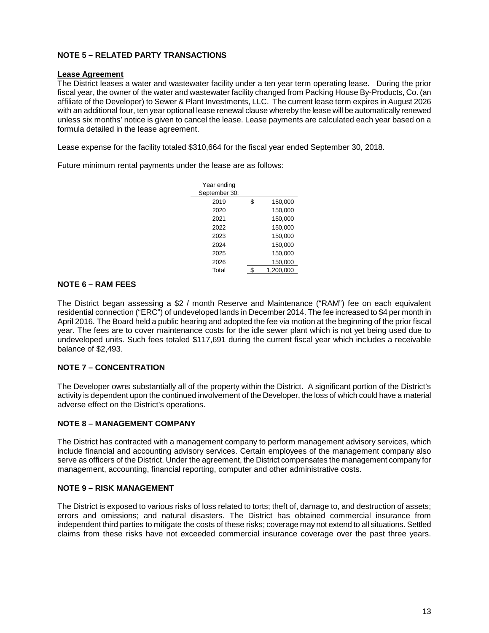# **NOTE 5 – RELATED PARTY TRANSACTIONS**

### **Lease Agreement**

The District leases a water and wastewater facility under a ten year term operating lease. During the prior fiscal year, the owner of the water and wastewater facility changed from Packing House By-Products, Co. (an affiliate of the Developer) to Sewer & Plant Investments, LLC. The current lease term expires in August 2026 with an additional four, ten year optional lease renewal clause whereby the lease will be automatically renewed unless six months' notice is given to cancel the lease. Lease payments are calculated each year based on a formula detailed in the lease agreement.

Lease expense for the facility totaled \$310,664 for the fiscal year ended September 30, 2018.

Future minimum rental payments under the lease are as follows:

| Year ending   |    |           |
|---------------|----|-----------|
| September 30: |    |           |
| 2019          | \$ | 150,000   |
| 2020          |    | 150,000   |
| 2021          |    | 150.000   |
| 2022          |    | 150.000   |
| 2023          |    | 150,000   |
| 2024          |    | 150,000   |
| 2025          |    | 150.000   |
| 2026          |    | 150,000   |
| Total         | ፍ  | 1.200.000 |

## **NOTE 6 – RAM FEES**

The District began assessing a \$2 / month Reserve and Maintenance ("RAM") fee on each equivalent residential connection ("ERC") of undeveloped lands in December 2014. The fee increased to \$4 per month in April 2016. The Board held a public hearing and adopted the fee via motion at the beginning of the prior fiscal year. The fees are to cover maintenance costs for the idle sewer plant which is not yet being used due to undeveloped units. Such fees totaled \$117,691 during the current fiscal year which includes a receivable balance of \$2,493.

## **NOTE 7 – CONCENTRATION**

The Developer owns substantially all of the property within the District. A significant portion of the District's activity is dependent upon the continued involvement of the Developer, the loss of which could have a material adverse effect on the District's operations.

### **NOTE 8 – MANAGEMENT COMPANY**

The District has contracted with a management company to perform management advisory services, which include financial and accounting advisory services. Certain employees of the management company also serve as officers of the District. Under the agreement, the District compensates the management company for management, accounting, financial reporting, computer and other administrative costs.

### **NOTE 9 – RISK MANAGEMENT**

The District is exposed to various risks of loss related to torts; theft of, damage to, and destruction of assets; errors and omissions; and natural disasters. The District has obtained commercial insurance from independent third parties to mitigate the costs of these risks; coverage may not extend to all situations. Settled claims from these risks have not exceeded commercial insurance coverage over the past three years.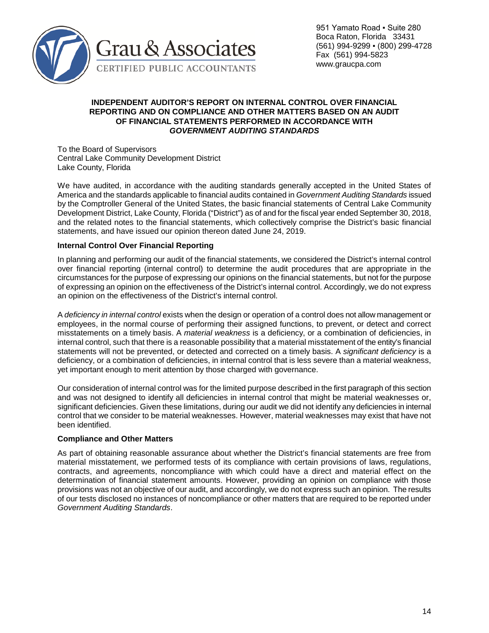

## **INDEPENDENT AUDITOR'S REPORT ON INTERNAL CONTROL OVER FINANCIAL REPORTING AND ON COMPLIANCE AND OTHER MATTERS BASED ON AN AUDIT OF FINANCIAL STATEMENTS PERFORMED IN ACCORDANCE WITH**  *GOVERNMENT AUDITING STANDARDS*

To the Board of Supervisors Central Lake Community Development District Lake County, Florida

We have audited, in accordance with the auditing standards generally accepted in the United States of America and the standards applicable to financial audits contained in *Government Auditing Standards* issued by the Comptroller General of the United States, the basic financial statements of Central Lake Community Development District, Lake County, Florida ("District") as of and for the fiscal year ended September 30, 2018, and the related notes to the financial statements, which collectively comprise the District's basic financial statements, and have issued our opinion thereon dated June 24, 2019.

## **Internal Control Over Financial Reporting**

In planning and performing our audit of the financial statements, we considered the District's internal control over financial reporting (internal control) to determine the audit procedures that are appropriate in the circumstances for the purpose of expressing our opinions on the financial statements, but not for the purpose of expressing an opinion on the effectiveness of the District's internal control. Accordingly, we do not express an opinion on the effectiveness of the District's internal control.

A *deficiency in internal control* exists when the design or operation of a control does not allow management or employees, in the normal course of performing their assigned functions, to prevent, or detect and correct misstatements on a timely basis. A *material weakness* is a deficiency, or a combination of deficiencies, in internal control, such that there is a reasonable possibility that a material misstatement of the entity's financial statements will not be prevented, or detected and corrected on a timely basis. A *significant deficiency* is a deficiency, or a combination of deficiencies, in internal control that is less severe than a material weakness, yet important enough to merit attention by those charged with governance.

Our consideration of internal control was for the limited purpose described in the first paragraph of this section and was not designed to identify all deficiencies in internal control that might be material weaknesses or, significant deficiencies. Given these limitations, during our audit we did not identify any deficiencies in internal control that we consider to be material weaknesses. However, material weaknesses may exist that have not been identified.

## **Compliance and Other Matters**

As part of obtaining reasonable assurance about whether the District's financial statements are free from material misstatement, we performed tests of its compliance with certain provisions of laws, regulations, contracts, and agreements, noncompliance with which could have a direct and material effect on the determination of financial statement amounts. However, providing an opinion on compliance with those provisions was not an objective of our audit, and accordingly, we do not express such an opinion. The results of our tests disclosed no instances of noncompliance or other matters that are required to be reported under *Government Auditing Standards*.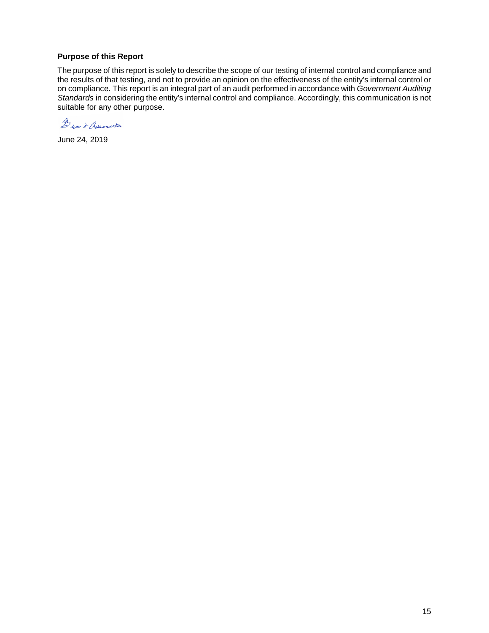## **Purpose of this Report**

The purpose of this report is solely to describe the scope of our testing of internal control and compliance and the results of that testing, and not to provide an opinion on the effectiveness of the entity's internal control or on compliance. This report is an integral part of an audit performed in accordance with *Government Auditing Standards* in considering the entity's internal control and compliance. Accordingly, this communication is not suitable for any other purpose.

Dyan & Association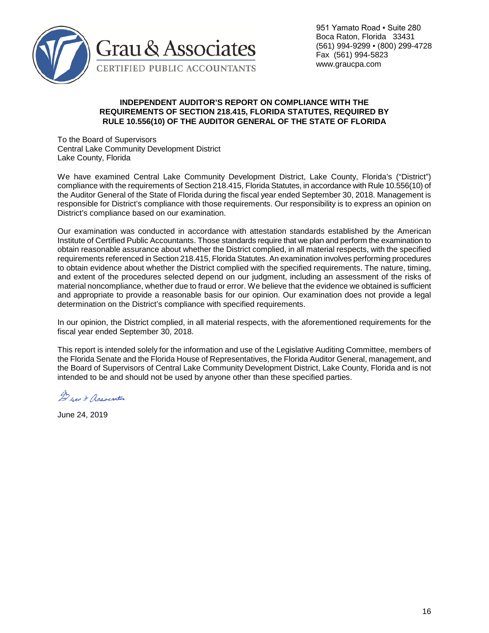

951 Yamato Road · Suite 280 Boca Raton, Florida 33431 (561) 994-9299 ▪ (800) 299-4728 Fax (561) 994-5823 www.graucpa.com

### **INDEPENDENT AUDITOR'S REPORT ON COMPLIANCE WITH THE REQUIREMENTS OF SECTION 218.415, FLORIDA STATUTES, REQUIRED BY RULE 10.556(10) OF THE AUDITOR GENERAL OF THE STATE OF FLORIDA**

To the Board of Supervisors Central Lake Community Development District Lake County, Florida

We have examined Central Lake Community Development District, Lake County, Florida's ("District") compliance with the requirements of Section 218.415, Florida Statutes, in accordance with Rule 10.556(10) of the Auditor General of the State of Florida during the fiscal year ended September 30, 2018. Management is responsible for District's compliance with those requirements. Our responsibility is to express an opinion on District's compliance based on our examination.

Our examination was conducted in accordance with attestation standards established by the American Institute of Certified Public Accountants. Those standards require that we plan and perform the examination to obtain reasonable assurance about whether the District complied, in all material respects, with the specified requirements referenced in Section 218.415, Florida Statutes. An examination involves performing procedures to obtain evidence about whether the District complied with the specified requirements. The nature, timing, and extent of the procedures selected depend on our judgment, including an assessment of the risks of material noncompliance, whether due to fraud or error. We believe that the evidence we obtained is sufficient and appropriate to provide a reasonable basis for our opinion. Our examination does not provide a legal determination on the District's compliance with specified requirements.

In our opinion, the District complied, in all material respects, with the aforementioned requirements for the fiscal year ended September 30, 2018.

This report is intended solely for the information and use of the Legislative Auditing Committee, members of the Florida Senate and the Florida House of Representatives, the Florida Auditor General, management, and the Board of Supervisors of Central Lake Community Development District, Lake County, Florida and is not intended to be and should not be used by anyone other than these specified parties.

Derau & Association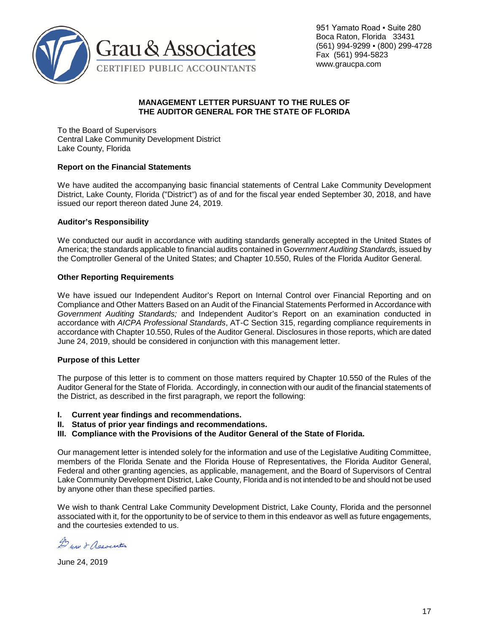

951 Yamato Road · Suite 280 Boca Raton, Florida 33431 (561) 994-9299 ▪ (800) 299-4728 Fax (561) 994-5823 www.graucpa.com

## **MANAGEMENT LETTER PURSUANT TO THE RULES OF THE AUDITOR GENERAL FOR THE STATE OF FLORIDA**

To the Board of Supervisors Central Lake Community Development District Lake County, Florida

## **Report on the Financial Statements**

We have audited the accompanying basic financial statements of Central Lake Community Development District, Lake County, Florida ("District") as of and for the fiscal year ended September 30, 2018, and have issued our report thereon dated June 24, 2019.

## **Auditor's Responsibility**

We conducted our audit in accordance with auditing standards generally accepted in the United States of America; the standards applicable to financial audits contained in G*overnment Auditing Standards,* issued by the Comptroller General of the United States; and Chapter 10.550, Rules of the Florida Auditor General.

## **Other Reporting Requirements**

We have issued our Independent Auditor's Report on Internal Control over Financial Reporting and on Compliance and Other Matters Based on an Audit of the Financial Statements Performed in Accordance with *Government Auditing Standards;* and Independent Auditor's Report on an examination conducted in accordance with *AICPA Professional Standards*, AT-C Section 315, regarding compliance requirements in accordance with Chapter 10.550, Rules of the Auditor General. Disclosures in those reports, which are dated June 24, 2019, should be considered in conjunction with this management letter.

### **Purpose of this Letter**

The purpose of this letter is to comment on those matters required by Chapter 10.550 of the Rules of the Auditor General for the State of Florida. Accordingly, in connection with our audit of the financial statements of the District, as described in the first paragraph, we report the following:

- **I. Current year findings and recommendations.**
- **II. Status of prior year findings and recommendations.**
- **III. Compliance with the Provisions of the Auditor General of the State of Florida.**

Our management letter is intended solely for the information and use of the Legislative Auditing Committee, members of the Florida Senate and the Florida House of Representatives, the Florida Auditor General, Federal and other granting agencies, as applicable, management, and the Board of Supervisors of Central Lake Community Development District, Lake County, Florida and is not intended to be and should not be used by anyone other than these specified parties.

We wish to thank Central Lake Community Development District, Lake County, Florida and the personnel associated with it, for the opportunity to be of service to them in this endeavor as well as future engagements, and the courtesies extended to us.

D you & Association